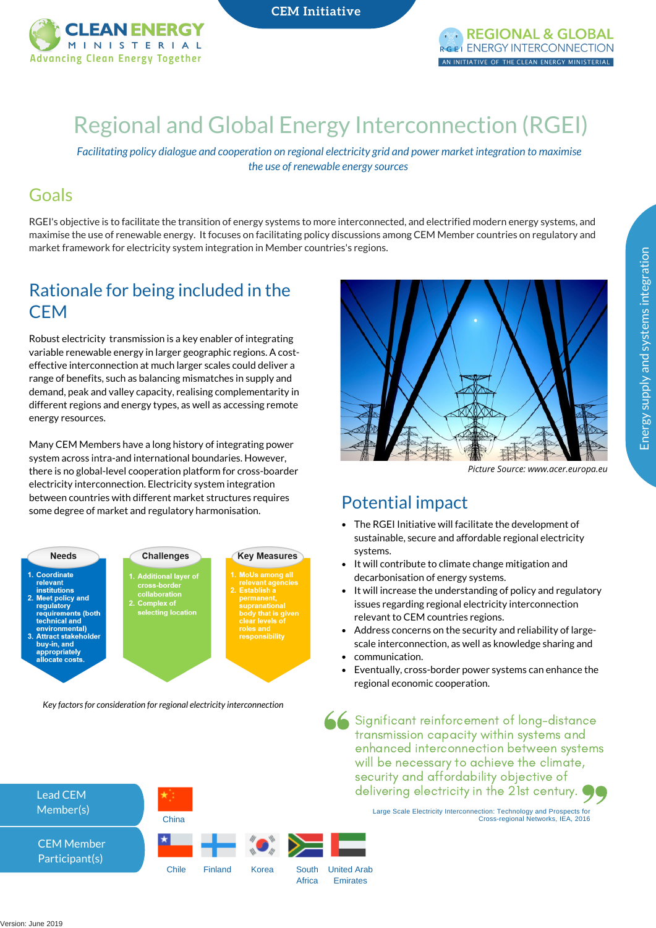

**CEM** Initiative



# Regional and Global Energy [Interconnection](https://www.21stcenturypower.org/) (RGEI)

*Facilitating policy dialogue and cooperation on regional electricity grid and power market integration to maximise the use of renewable energy sources*

### Goals

RGEI's objective is to facilitate the transition of energy systems to more interconnected, and electrified modern energy systems, and maximise the use of renewable energy. It focuses on facilitating policy discussions among CEM Member countries on regulatory and market framework for electricity system integration in Member countries's regions.

### Rationale for being included in the **CEM**

Robust electricity transmission is a key enabler of integrating variable renewable energy in larger geographic regions. A costeffective interconnection at much larger scales could deliver a range of benefits, such as balancing mismatches in supply and demand, peak and valley capacity, realising complementarity in different regions and energy types, as well as accessing remote energy resources.

Many CEM Members have a long history of integrating power system across intra-and international boundaries. However, there is no global-level cooperation platform for cross-boarder electricity interconnection. Electricity system integration between countries with different market structures requires some degree of market and regulatory harmonisation.



*Key factorsfor consideration for regional electricity interconnection*





*Picture Source: www.acer.europa.eu*

### Potential impact

- The RGEI Initiative will facilitate the development of sustainable, secure and affordable regional electricity systems.
- It will contribute to climate change mitigation and decarbonisation of energy systems.
- It will increase the understanding of policy and regulatory issues regarding regional electricity interconnection relevant to CEM countries regions.
- Address concerns on the security and reliability of largescale interconnection, as well as knowledge sharing and
- communication.
- Eventually, cross-border power systems can enhance the regional economic cooperation.

Significant reinforcement of long-distance transmission capacity within systems and enhanced interconnection between systems will be necessary to achieve the climate, security and affordability objective of delivering electricity in the 21st century.

Large Scale Electricity Interconnection: Technology and Prospects for Cross-regional Networks, IEA, 2016



Energ y su pply an d syste

ms inte

gratio n